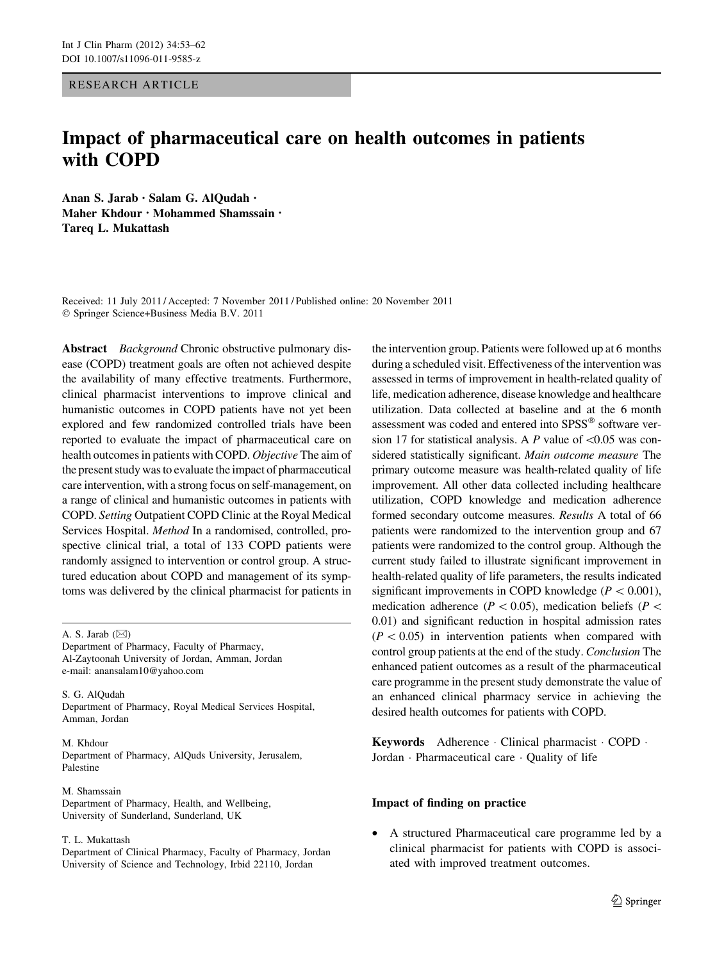# RESEARCH ARTICLE

# Impact of pharmaceutical care on health outcomes in patients with COPD

Anan S. Jarab • Salam G. AlQudah • Maher Khdour • Mohammed Shamssain • Tareq L. Mukattash

Received: 11 July 2011 / Accepted: 7 November 2011 / Published online: 20 November 2011 - Springer Science+Business Media B.V. 2011

Abstract Background Chronic obstructive pulmonary disease (COPD) treatment goals are often not achieved despite the availability of many effective treatments. Furthermore, clinical pharmacist interventions to improve clinical and humanistic outcomes in COPD patients have not yet been explored and few randomized controlled trials have been reported to evaluate the impact of pharmaceutical care on health outcomes in patients with COPD. Objective The aim of the present study was to evaluate the impact of pharmaceutical care intervention, with a strong focus on self-management, on a range of clinical and humanistic outcomes in patients with COPD. Setting Outpatient COPD Clinic at the Royal Medical Services Hospital. Method In a randomised, controlled, prospective clinical trial, a total of 133 COPD patients were randomly assigned to intervention or control group. A structured education about COPD and management of its symptoms was delivered by the clinical pharmacist for patients in

A. S. Jarab  $(\boxtimes)$ 

Department of Pharmacy, Faculty of Pharmacy, Al-Zaytoonah University of Jordan, Amman, Jordan e-mail: anansalam10@yahoo.com

S. G. AlQudah Department of Pharmacy, Royal Medical Services Hospital, Amman, Jordan

#### M. Khdour Department of Pharmacy, AlQuds University, Jerusalem, Palestine

M. Shamssain Department of Pharmacy, Health, and Wellbeing, University of Sunderland, Sunderland, UK

#### T. L. Mukattash

Department of Clinical Pharmacy, Faculty of Pharmacy, Jordan University of Science and Technology, Irbid 22110, Jordan

the intervention group. Patients were followed up at 6 months during a scheduled visit. Effectiveness of the intervention was assessed in terms of improvement in health-related quality of life, medication adherence, disease knowledge and healthcare utilization. Data collected at baseline and at the 6 month assessment was coded and entered into SPSS® software version 17 for statistical analysis. A P value of  $\leq 0.05$  was considered statistically significant. Main outcome measure The primary outcome measure was health-related quality of life improvement. All other data collected including healthcare utilization, COPD knowledge and medication adherence formed secondary outcome measures. Results A total of 66 patients were randomized to the intervention group and 67 patients were randomized to the control group. Although the current study failed to illustrate significant improvement in health-related quality of life parameters, the results indicated significant improvements in COPD knowledge ( $P < 0.001$ ), medication adherence ( $P \lt 0.05$ ), medication beliefs ( $P \lt$ 0.01) and significant reduction in hospital admission rates  $(P<0.05)$  in intervention patients when compared with control group patients at the end of the study. Conclusion The enhanced patient outcomes as a result of the pharmaceutical care programme in the present study demonstrate the value of an enhanced clinical pharmacy service in achieving the desired health outcomes for patients with COPD.

Keywords Adherence - Clinical pharmacist - COPD - Jordan - Pharmaceutical care - Quality of life

## Impact of finding on practice

• A structured Pharmaceutical care programme led by a clinical pharmacist for patients with COPD is associated with improved treatment outcomes.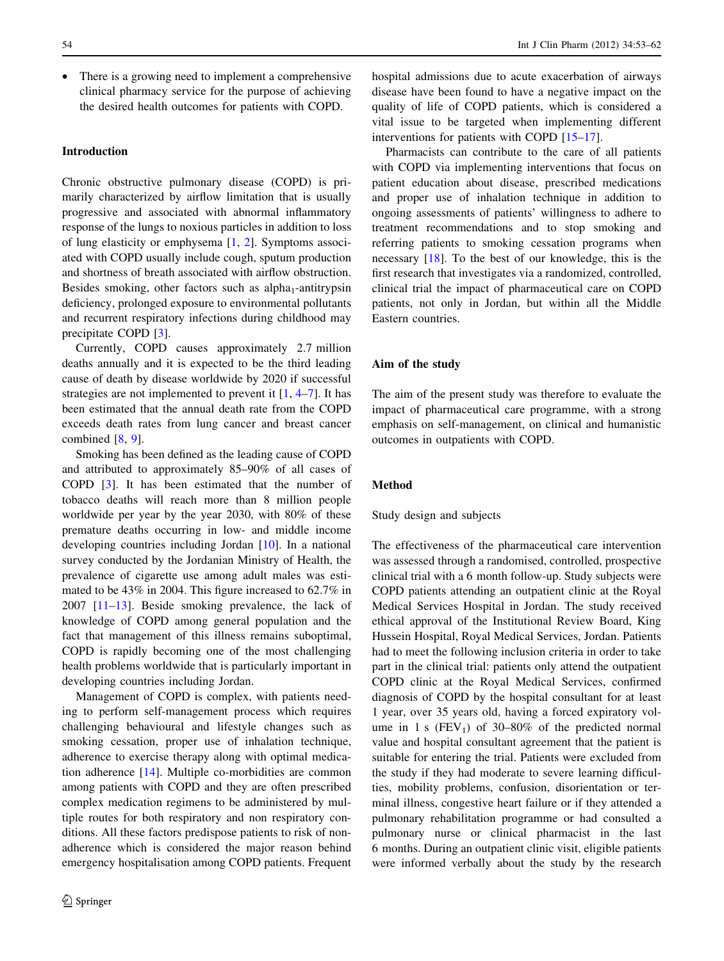• There is a growing need to implement a comprehensive clinical pharmacy service for the purpose of achieving the desired health outcomes for patients with COPD.

# Introduction

Chronic obstructive pulmonary disease (COPD) is primarily characterized by airflow limitation that is usually progressive and associated with abnormal inflammatory response of the lungs to noxious particles in addition to loss of lung elasticity or emphysema [\[1](#page-7-0), [2\]](#page-7-0). Symptoms associated with COPD usually include cough, sputum production and shortness of breath associated with airflow obstruction. Besides smoking, other factors such as  $alpha_{1-}$ antitrypsin deficiency, prolonged exposure to environmental pollutants and recurrent respiratory infections during childhood may precipitate COPD [[3\]](#page-8-0).

Currently, COPD causes approximately 2.7 million deaths annually and it is expected to be the third leading cause of death by disease worldwide by 2020 if successful strategies are not implemented to prevent it  $[1, 4-7]$  $[1, 4-7]$  $[1, 4-7]$ . It has been estimated that the annual death rate from the COPD exceeds death rates from lung cancer and breast cancer combined [\[8](#page-8-0), [9\]](#page-8-0).

Smoking has been defined as the leading cause of COPD and attributed to approximately 85–90% of all cases of COPD [[3\]](#page-8-0). It has been estimated that the number of tobacco deaths will reach more than 8 million people worldwide per year by the year 2030, with 80% of these premature deaths occurring in low- and middle income developing countries including Jordan [\[10](#page-8-0)]. In a national survey conducted by the Jordanian Ministry of Health, the prevalence of cigarette use among adult males was estimated to be 43% in 2004. This figure increased to 62.7% in 2007 [[11–13\]](#page-8-0). Beside smoking prevalence, the lack of knowledge of COPD among general population and the fact that management of this illness remains suboptimal, COPD is rapidly becoming one of the most challenging health problems worldwide that is particularly important in developing countries including Jordan.

Management of COPD is complex, with patients needing to perform self-management process which requires challenging behavioural and lifestyle changes such as smoking cessation, proper use of inhalation technique, adherence to exercise therapy along with optimal medication adherence [\[14](#page-8-0)]. Multiple co-morbidities are common among patients with COPD and they are often prescribed complex medication regimens to be administered by multiple routes for both respiratory and non respiratory conditions. All these factors predispose patients to risk of nonadherence which is considered the major reason behind emergency hospitalisation among COPD patients. Frequent hospital admissions due to acute exacerbation of airways disease have been found to have a negative impact on the quality of life of COPD patients, which is considered a vital issue to be targeted when implementing different interventions for patients with COPD [[15–17](#page-8-0)].

Pharmacists can contribute to the care of all patients with COPD via implementing interventions that focus on patient education about disease, prescribed medications and proper use of inhalation technique in addition to ongoing assessments of patients' willingness to adhere to treatment recommendations and to stop smoking and referring patients to smoking cessation programs when necessary [\[18](#page-8-0)]. To the best of our knowledge, this is the first research that investigates via a randomized, controlled, clinical trial the impact of pharmaceutical care on COPD patients, not only in Jordan, but within all the Middle Eastern countries.

#### Aim of the study

The aim of the present study was therefore to evaluate the impact of pharmaceutical care programme, with a strong emphasis on self-management, on clinical and humanistic outcomes in outpatients with COPD.

# Method

## Study design and subjects

The effectiveness of the pharmaceutical care intervention was assessed through a randomised, controlled, prospective clinical trial with a 6 month follow-up. Study subjects were COPD patients attending an outpatient clinic at the Royal Medical Services Hospital in Jordan. The study received ethical approval of the Institutional Review Board, King Hussein Hospital, Royal Medical Services, Jordan. Patients had to meet the following inclusion criteria in order to take part in the clinical trial: patients only attend the outpatient COPD clinic at the Royal Medical Services, confirmed diagnosis of COPD by the hospital consultant for at least 1 year, over 35 years old, having a forced expiratory volume in 1 s  $(FEV_1)$  of 30–80% of the predicted normal value and hospital consultant agreement that the patient is suitable for entering the trial. Patients were excluded from the study if they had moderate to severe learning difficulties, mobility problems, confusion, disorientation or terminal illness, congestive heart failure or if they attended a pulmonary rehabilitation programme or had consulted a pulmonary nurse or clinical pharmacist in the last 6 months. During an outpatient clinic visit, eligible patients were informed verbally about the study by the research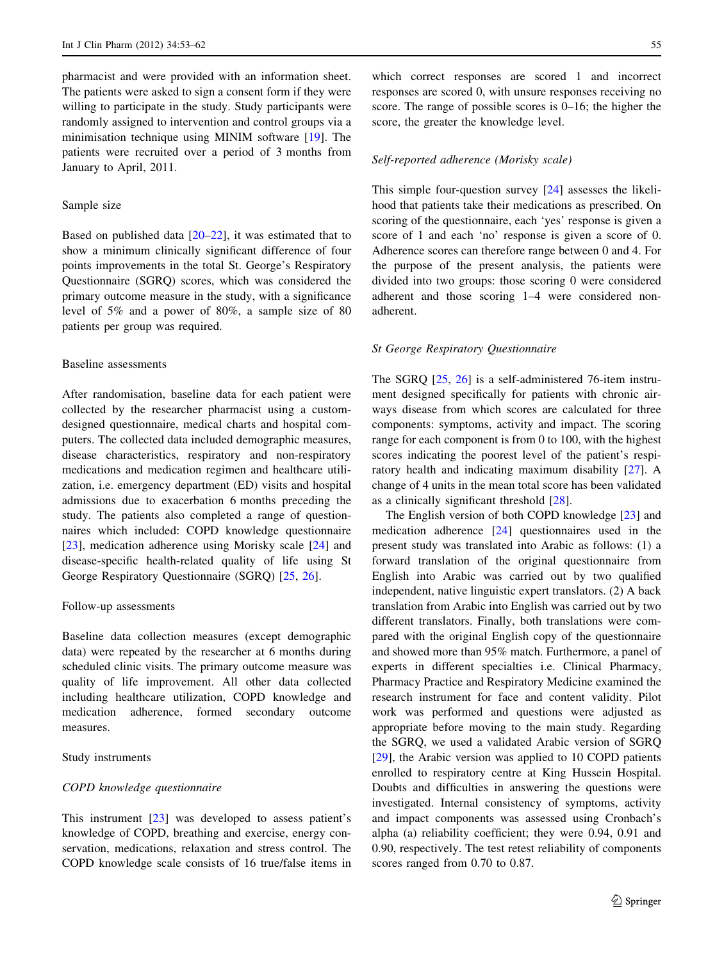pharmacist and were provided with an information sheet. The patients were asked to sign a consent form if they were willing to participate in the study. Study participants were randomly assigned to intervention and control groups via a minimisation technique using MINIM software [[19\]](#page-8-0). The patients were recruited over a period of 3 months from January to April, 2011.

## Sample size

Based on published data  $[20-22]$ , it was estimated that to show a minimum clinically significant difference of four points improvements in the total St. George's Respiratory Questionnaire (SGRQ) scores, which was considered the primary outcome measure in the study, with a significance level of 5% and a power of 80%, a sample size of 80 patients per group was required.

## Baseline assessments

After randomisation, baseline data for each patient were collected by the researcher pharmacist using a customdesigned questionnaire, medical charts and hospital computers. The collected data included demographic measures, disease characteristics, respiratory and non-respiratory medications and medication regimen and healthcare utilization, i.e. emergency department (ED) visits and hospital admissions due to exacerbation 6 months preceding the study. The patients also completed a range of questionnaires which included: COPD knowledge questionnaire [\[23](#page-8-0)], medication adherence using Morisky scale [\[24](#page-8-0)] and disease-specific health-related quality of life using St George Respiratory Questionnaire (SGRQ) [\[25](#page-8-0), [26\]](#page-8-0).

#### Follow-up assessments

Baseline data collection measures (except demographic data) were repeated by the researcher at 6 months during scheduled clinic visits. The primary outcome measure was quality of life improvement. All other data collected including healthcare utilization, COPD knowledge and medication adherence, formed secondary outcome measures.

## Study instruments

## COPD knowledge questionnaire

This instrument [[23\]](#page-8-0) was developed to assess patient's knowledge of COPD, breathing and exercise, energy conservation, medications, relaxation and stress control. The COPD knowledge scale consists of 16 true/false items in

which correct responses are scored 1 and incorrect responses are scored 0, with unsure responses receiving no score. The range of possible scores is 0–16; the higher the score, the greater the knowledge level.

## Self-reported adherence (Morisky scale)

This simple four-question survey [\[24](#page-8-0)] assesses the likelihood that patients take their medications as prescribed. On scoring of the questionnaire, each 'yes' response is given a score of 1 and each 'no' response is given a score of 0. Adherence scores can therefore range between 0 and 4. For the purpose of the present analysis, the patients were divided into two groups: those scoring 0 were considered adherent and those scoring 1–4 were considered nonadherent.

#### St George Respiratory Questionnaire

The SGRQ [[25,](#page-8-0) [26\]](#page-8-0) is a self-administered 76-item instrument designed specifically for patients with chronic airways disease from which scores are calculated for three components: symptoms, activity and impact. The scoring range for each component is from 0 to 100, with the highest scores indicating the poorest level of the patient's respiratory health and indicating maximum disability [[27\]](#page-8-0). A change of 4 units in the mean total score has been validated as a clinically significant threshold [\[28](#page-8-0)].

The English version of both COPD knowledge [[23\]](#page-8-0) and medication adherence [\[24](#page-8-0)] questionnaires used in the present study was translated into Arabic as follows: (1) a forward translation of the original questionnaire from English into Arabic was carried out by two qualified independent, native linguistic expert translators. (2) A back translation from Arabic into English was carried out by two different translators. Finally, both translations were compared with the original English copy of the questionnaire and showed more than 95% match. Furthermore, a panel of experts in different specialties i.e. Clinical Pharmacy, Pharmacy Practice and Respiratory Medicine examined the research instrument for face and content validity. Pilot work was performed and questions were adjusted as appropriate before moving to the main study. Regarding the SGRQ, we used a validated Arabic version of SGRQ [\[29](#page-8-0)], the Arabic version was applied to 10 COPD patients enrolled to respiratory centre at King Hussein Hospital. Doubts and difficulties in answering the questions were investigated. Internal consistency of symptoms, activity and impact components was assessed using Cronbach's alpha (a) reliability coefficient; they were 0.94, 0.91 and 0.90, respectively. The test retest reliability of components scores ranged from 0.70 to 0.87.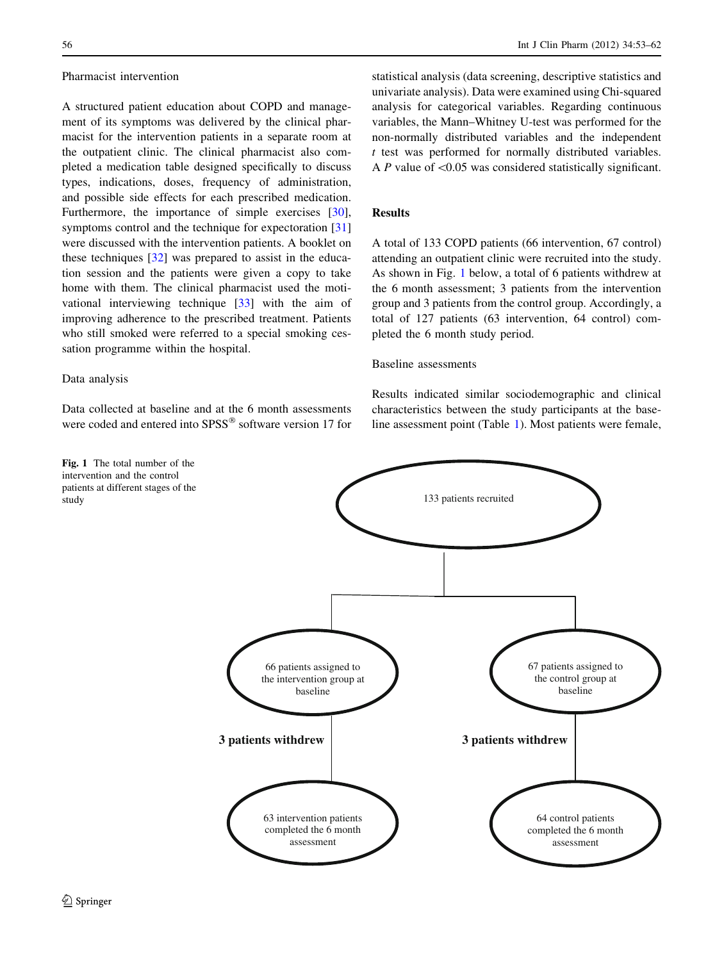#### Pharmacist intervention

A structured patient education about COPD and management of its symptoms was delivered by the clinical pharmacist for the intervention patients in a separate room at the outpatient clinic. The clinical pharmacist also completed a medication table designed specifically to discuss types, indications, doses, frequency of administration, and possible side effects for each prescribed medication. Furthermore, the importance of simple exercises [\[30](#page-8-0)], symptoms control and the technique for expectoration [[31\]](#page-8-0) were discussed with the intervention patients. A booklet on these techniques [[32\]](#page-8-0) was prepared to assist in the education session and the patients were given a copy to take home with them. The clinical pharmacist used the motivational interviewing technique [\[33](#page-8-0)] with the aim of improving adherence to the prescribed treatment. Patients who still smoked were referred to a special smoking cessation programme within the hospital.

## Data analysis

Data collected at baseline and at the 6 month assessments were coded and entered into SPSS<sup>®</sup> software version 17 for

Fig. 1 The total number of the intervention and the control patients at different stages of the study

statistical analysis (data screening, descriptive statistics and univariate analysis). Data were examined using Chi-squared analysis for categorical variables. Regarding continuous variables, the Mann–Whitney U-test was performed for the non-normally distributed variables and the independent  $t$  test was performed for normally distributed variables. A P value of  $\leq 0.05$  was considered statistically significant.

# Results

A total of 133 COPD patients (66 intervention, 67 control) attending an outpatient clinic were recruited into the study. As shown in Fig. 1 below, a total of 6 patients withdrew at the 6 month assessment; 3 patients from the intervention group and 3 patients from the control group. Accordingly, a total of 127 patients (63 intervention, 64 control) completed the 6 month study period.

## Baseline assessments

Results indicated similar sociodemographic and clinical characteristics between the study participants at the baseline assessment point (Table [1\)](#page-4-0). Most patients were female,

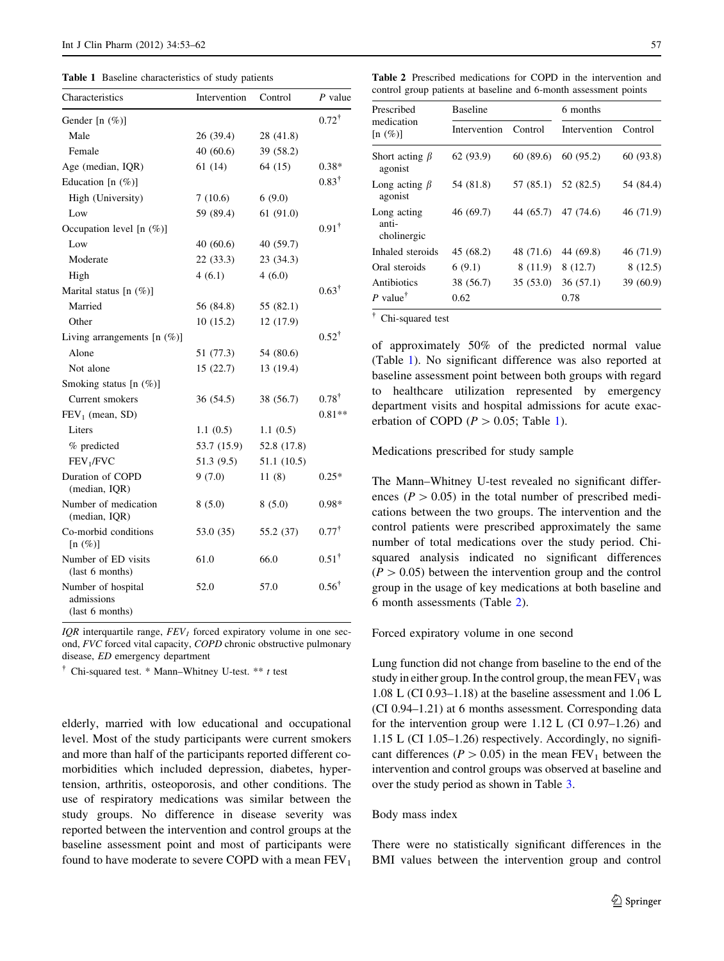<span id="page-4-0"></span>Table 1 Baseline characteristics of study patients

| Characteristics                                     | Intervention | Control     | P value          |
|-----------------------------------------------------|--------------|-------------|------------------|
| Gender [n $(\%)$ ]                                  |              |             | $0.72^{\dagger}$ |
| Male                                                | 26 (39.4)    | 28 (41.8)   |                  |
| Female                                              | 40(60.6)     | 39 (58.2)   |                  |
| Age (median, IQR)                                   | 61(14)       | 64 (15)     | $0.38*$          |
| Education [n (%)]                                   |              |             | $0.83^{\dagger}$ |
| High (University)                                   | 7(10.6)      | 6(9.0)      |                  |
| Low                                                 | 59 (89.4)    | 61(91.0)    |                  |
| Occupation level $[n (\%)]$                         |              |             | $0.91^{\dagger}$ |
| Low                                                 | 40(60.6)     | 40 (59.7)   |                  |
| Moderate                                            | 22 (33.3)    | 23 (34.3)   |                  |
| High                                                | 4(6.1)       | 4(6.0)      |                  |
| Marital status [n (%)]                              |              |             | $0.63^{\dagger}$ |
| Married                                             | 56 (84.8)    | 55 (82.1)   |                  |
| Other                                               | 10(15.2)     | 12 (17.9)   |                  |
| Living arrangements $[n (\%)]$                      |              |             | $0.52^{\dagger}$ |
| Alone                                               | 51 (77.3)    | 54 (80.6)   |                  |
| Not alone                                           | 15(22.7)     | 13 (19.4)   |                  |
| Smoking status [n (%)]                              |              |             |                  |
| Current smokers                                     | 36 (54.5)    | 38 (56.7)   | $0.78^{\dagger}$ |
| $FEV1$ (mean, SD)                                   |              |             | $0.81**$         |
| Liters                                              | 1.1(0.5)     | 1.1(0.5)    |                  |
| % predicted                                         | 53.7 (15.9)  | 52.8 (17.8) |                  |
| FEV <sub>1</sub> /FVC                               | 51.3 (9.5)   | 51.1 (10.5) |                  |
| Duration of COPD<br>(median, IQR)                   | 9(7.0)       | 11(8)       | $0.25*$          |
| Number of medication<br>(median, IQR)               | 8(5.0)       | 8(5.0)      | $0.98*$          |
| Co-morbid conditions<br>$[n \ (\%)]$                | 53.0 (35)    | 55.2 (37)   | $0.77^{\dagger}$ |
| Number of ED visits<br>(last 6 months)              | 61.0         | 66.0        | $0.51^{\dagger}$ |
| Number of hospital<br>admissions<br>(last 6 months) | 52.0         | 57.0        | $0.56^{\dagger}$ |

IOR interquartile range,  $FEV<sub>1</sub>$  forced expiratory volume in one second, FVC forced vital capacity, COPD chronic obstructive pulmonary disease, ED emergency department

<sup>†</sup> Chi-squared test. \* Mann–Whitney U-test. \*\* t test

elderly, married with low educational and occupational level. Most of the study participants were current smokers and more than half of the participants reported different comorbidities which included depression, diabetes, hypertension, arthritis, osteoporosis, and other conditions. The use of respiratory medications was similar between the study groups. No difference in disease severity was reported between the intervention and control groups at the baseline assessment point and most of participants were found to have moderate to severe COPD with a mean  $FEV<sub>1</sub>$ 

Table 2 Prescribed medications for COPD in the intervention and control group patients at baseline and 6-month assessment points

| Prescribed<br>medication<br>$[n \ (\%)]$ | <b>Baseline</b> |           | 6 months            |           |
|------------------------------------------|-----------------|-----------|---------------------|-----------|
|                                          | Intervention    | Control   | Intervention        | Control   |
| Short acting $\beta$<br>agonist          | 62(93.9)        | 60(89.6)  | 60 (95.2)           | 60 (93.8) |
| Long acting $\beta$<br>agonist           | 54 (81.8)       | 57 (85.1) | 52 (82.5)           | 54 (84.4) |
| Long acting<br>anti-<br>cholinergic      | 46 (69.7)       |           | 44 (65.7) 47 (74.6) | 46 (71.9) |
| Inhaled steroids                         | 45 (68.2)       | 48 (71.6) | 44 (69.8)           | 46 (71.9) |
| Oral steroids                            | 6(9.1)          | 8 (11.9)  | 8(12.7)             | 8(12.5)   |
| Antibiotics                              | 38 (56.7)       | 35(53.0)  | 36(57.1)            | 39 (60.9) |
| P value <sup>†</sup>                     | 0.62            |           | 0.78                |           |

- Chi-squared test

of approximately 50% of the predicted normal value (Table 1). No significant difference was also reported at baseline assessment point between both groups with regard to healthcare utilization represented by emergency department visits and hospital admissions for acute exacerbation of COPD ( $P > 0.05$ ; Table 1).

Medications prescribed for study sample

The Mann–Whitney U-test revealed no significant differences ( $P > 0.05$ ) in the total number of prescribed medications between the two groups. The intervention and the control patients were prescribed approximately the same number of total medications over the study period. Chisquared analysis indicated no significant differences  $(P > 0.05)$  between the intervention group and the control group in the usage of key medications at both baseline and 6 month assessments (Table 2).

Forced expiratory volume in one second

Lung function did not change from baseline to the end of the study in either group. In the control group, the mean  $FEV<sub>1</sub>$  was 1.08 L (CI 0.93–1.18) at the baseline assessment and 1.06 L (CI 0.94–1.21) at 6 months assessment. Corresponding data for the intervention group were 1.12 L (CI 0.97–1.26) and 1.15 L (CI 1.05–1.26) respectively. Accordingly, no significant differences ( $P > 0.05$ ) in the mean FEV<sub>1</sub> between the intervention and control groups was observed at baseline and over the study period as shown in Table [3.](#page-5-0)

#### Body mass index

There were no statistically significant differences in the BMI values between the intervention group and control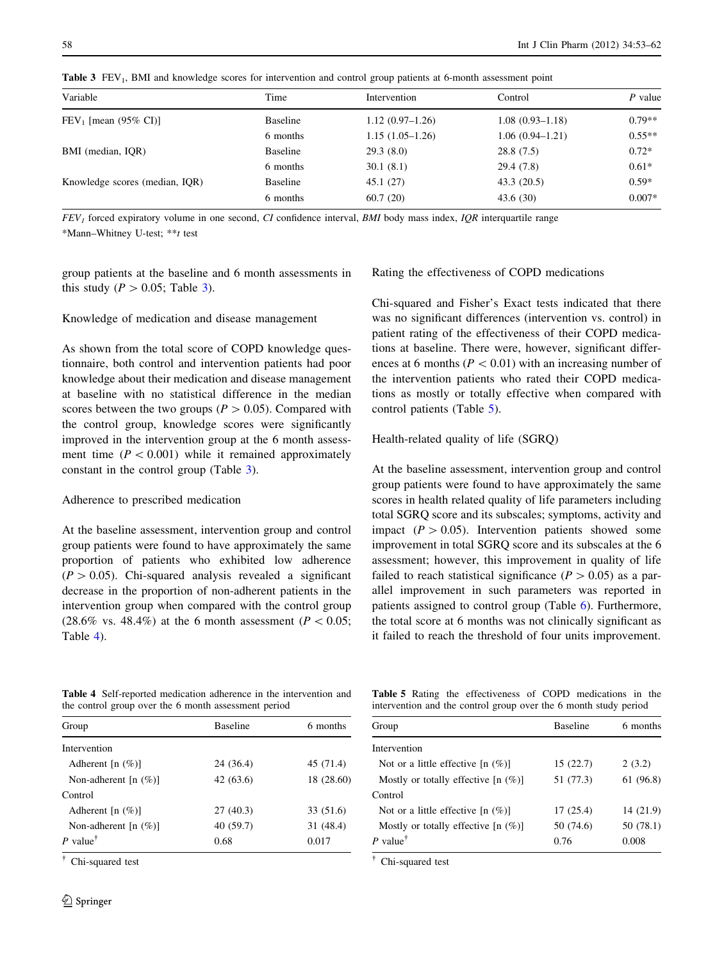| Variable                       | Time            | Intervention      | Control             | $P$ value |
|--------------------------------|-----------------|-------------------|---------------------|-----------|
| $FEV1$ [mean (95% CI)]         | <b>Baseline</b> | $1.12(0.97-1.26)$ | $1.08(0.93 - 1.18)$ | $0.79**$  |
|                                | 6 months        | $1.15(1.05-1.26)$ | $1.06(0.94 - 1.21)$ | $0.55**$  |
| BMI (median, IQR)              | <b>Baseline</b> | 29.3(8.0)         | 28.8(7.5)           | $0.72*$   |
|                                | 6 months        | 30.1(8.1)         | 29.4 (7.8)          | $0.61*$   |
| Knowledge scores (median, IOR) | <b>Baseline</b> | 45.1(27)          | 43.3(20.5)          | $0.59*$   |
|                                | 6 months        | 60.7(20)          | 43.6(30)            | $0.007*$  |

<span id="page-5-0"></span>Table 3 FEV<sub>1</sub>. BMI and knowledge scores for intervention and control group patients at 6-month assessment point

 $FEV<sub>I</sub>$  forced expiratory volume in one second, CI confidence interval, BMI body mass index, IQR interquartile range \*Mann–Whitney U-test; \*\*t test

group patients at the baseline and 6 month assessments in this study ( $P > 0.05$ ; Table 3).

## Knowledge of medication and disease management

As shown from the total score of COPD knowledge questionnaire, both control and intervention patients had poor knowledge about their medication and disease management at baseline with no statistical difference in the median scores between the two groups ( $P > 0.05$ ). Compared with the control group, knowledge scores were significantly improved in the intervention group at the 6 month assessment time  $(P < 0.001)$  while it remained approximately constant in the control group (Table 3).

## Adherence to prescribed medication

At the baseline assessment, intervention group and control group patients were found to have approximately the same proportion of patients who exhibited low adherence  $(P > 0.05)$ . Chi-squared analysis revealed a significant decrease in the proportion of non-adherent patients in the intervention group when compared with the control group  $(28.6\% \text{ vs. } 48.4\%)$  at the 6 month assessment  $(P < 0.05;$ Table 4).

Rating the effectiveness of COPD medications

Chi-squared and Fisher's Exact tests indicated that there was no significant differences (intervention vs. control) in patient rating of the effectiveness of their COPD medications at baseline. There were, however, significant differences at 6 months ( $P < 0.01$ ) with an increasing number of the intervention patients who rated their COPD medications as mostly or totally effective when compared with control patients (Table 5).

Health-related quality of life (SGRQ)

At the baseline assessment, intervention group and control group patients were found to have approximately the same scores in health related quality of life parameters including total SGRQ score and its subscales; symptoms, activity and impact  $(P > 0.05)$ . Intervention patients showed some improvement in total SGRQ score and its subscales at the 6 assessment; however, this improvement in quality of life failed to reach statistical significance ( $P > 0.05$ ) as a parallel improvement in such parameters was reported in patients assigned to control group (Table [6\)](#page-6-0). Furthermore, the total score at 6 months was not clinically significant as it failed to reach the threshold of four units improvement.

Table 4 Self-reported medication adherence in the intervention and the control group over the 6 month assessment period

| Group                     | <b>Baseline</b> | 6 months   |
|---------------------------|-----------------|------------|
| Intervention              |                 |            |
| Adherent $[n (\%)]$       | 24 (36.4)       | 45 (71.4)  |
| Non-adherent $[n \ (\%)]$ | 42(63.6)        | 18 (28.60) |
| Control                   |                 |            |
| Adherent $[n (\%)]$       | 27(40.3)        | 33 (51.6)  |
| Non-adherent $[n \ (\%)]$ | 40 (59.7)       | 31 (48.4)  |
| P value <sup>†</sup>      | 0.68            | 0.017      |

- Chi-squared test

Table 5 Rating the effectiveness of COPD medications in the intervention and the control group over the 6 month study period

| Group                                    | <b>Baseline</b> | 6 months  |  |
|------------------------------------------|-----------------|-----------|--|
| Intervention                             |                 |           |  |
| Not or a little effective $[n (%)]$      | 15(22.7)        | 2(3.2)    |  |
| Mostly or totally effective $[n \ (\%)]$ | 51 (77.3)       | 61 (96.8) |  |
| Control                                  |                 |           |  |
| Not or a little effective $[n (%)]$      | 17(25.4)        | 14 (21.9) |  |
| Mostly or totally effective $[n (%)]$    | 50 (74.6)       | 50 (78.1) |  |
| P value <sup><math>\dagger</math></sup>  | 0.76            | 0.008     |  |
|                                          |                 |           |  |

- Chi-squared test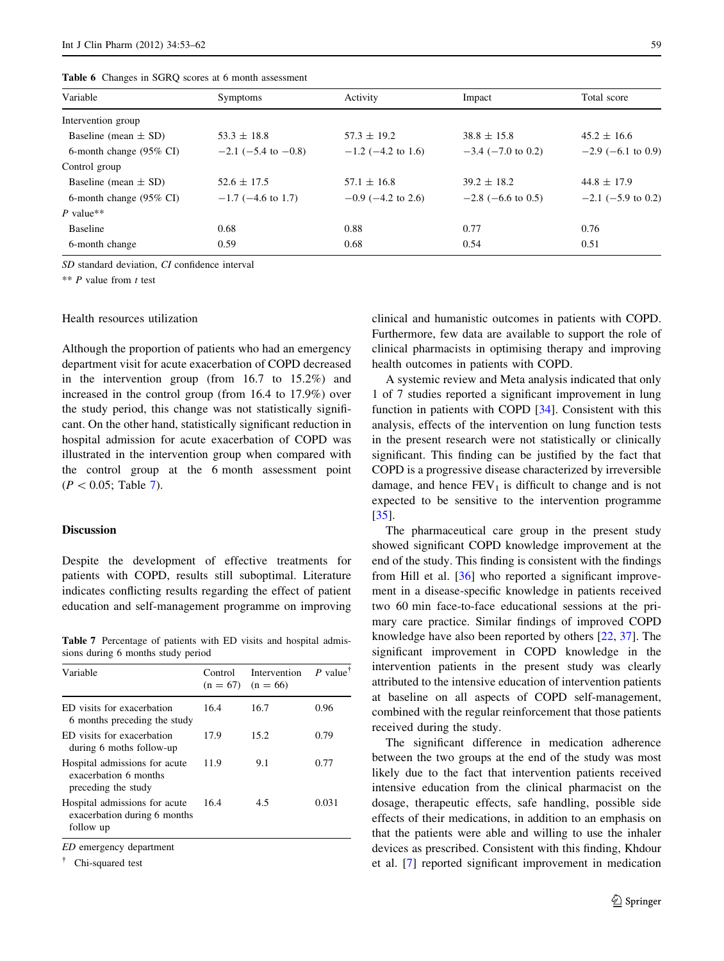<span id="page-6-0"></span>

|  |  |  |  |  |  | <b>Table 6</b> Changes in SGRQ scores at 6 month assessment |
|--|--|--|--|--|--|-------------------------------------------------------------|
|--|--|--|--|--|--|-------------------------------------------------------------|

| Variable                           | <b>Symptoms</b>       | Activity                | Impact                  | Total score          |
|------------------------------------|-----------------------|-------------------------|-------------------------|----------------------|
| Intervention group                 |                       |                         |                         |                      |
| Baseline (mean $\pm$ SD)           | $53.3 \pm 18.8$       | $57.3 \pm 19.2$         | $38.8 \pm 15.8$         | $45.2 \pm 16.6$      |
| 6-month change $(95\% \text{ CI})$ | $-2.1$ (-5.4 to -0.8) | $-1.2$ (-4.2 to 1.6)    | $-3.4$ ( $-7.0$ to 0.2) | $-2.9$ (-6.1 to 0.9) |
| Control group                      |                       |                         |                         |                      |
| Baseline (mean $\pm$ SD)           | $52.6 \pm 17.5$       | $57.1 \pm 16.8$         | $39.2 \pm 18.2$         | $44.8 \pm 17.9$      |
| 6-month change $(95\% \text{ CI})$ | $-1.7$ (-4.6 to 1.7)  | $-0.9$ ( $-4.2$ to 2.6) | $-2.8$ (-6.6 to 0.5)    | $-2.1$ (-5.9 to 0.2) |
| P value**                          |                       |                         |                         |                      |
| <b>Baseline</b>                    | 0.68                  | 0.88                    | 0.77                    | 0.76                 |
| 6-month change                     | 0.59                  | 0.68                    | 0.54                    | 0.51                 |

SD standard deviation, CI confidence interval

\*\*  $P$  value from  $t$  test

## Health resources utilization

Although the proportion of patients who had an emergency department visit for acute exacerbation of COPD decreased in the intervention group (from 16.7 to 15.2%) and increased in the control group (from 16.4 to 17.9%) over the study period, this change was not statistically significant. On the other hand, statistically significant reduction in hospital admission for acute exacerbation of COPD was illustrated in the intervention group when compared with the control group at the 6 month assessment point  $(P < 0.05;$  Table 7).

# Discussion

Despite the development of effective treatments for patients with COPD, results still suboptimal. Literature indicates conflicting results regarding the effect of patient education and self-management programme on improving

Table 7 Percentage of patients with ED visits and hospital admissions during 6 months study period

| Variable                                                                      | Control<br>$(n = 67)$ | Intervention<br>$(n = 66)$ | P value <sup>†</sup> |
|-------------------------------------------------------------------------------|-----------------------|----------------------------|----------------------|
| ED visits for exacerbation<br>6 months preceding the study                    | 16.4                  | 16.7                       | 0.96                 |
| ED visits for exacerbation<br>during 6 moths follow-up                        | 17.9                  | 15.2                       | 0.79                 |
| Hospital admissions for acute<br>exacerbation 6 months<br>preceding the study | 11.9                  | 9.1                        | 0.77                 |
| Hospital admissions for acute<br>exacerbation during 6 months<br>follow up    | 16.4                  | 4.5                        | 0.031                |

ED emergency department

- Chi-squared test

clinical and humanistic outcomes in patients with COPD. Furthermore, few data are available to support the role of clinical pharmacists in optimising therapy and improving health outcomes in patients with COPD.

A systemic review and Meta analysis indicated that only 1 of 7 studies reported a significant improvement in lung function in patients with COPD [[34\]](#page-8-0). Consistent with this analysis, effects of the intervention on lung function tests in the present research were not statistically or clinically significant. This finding can be justified by the fact that COPD is a progressive disease characterized by irreversible damage, and hence  $FEV<sub>1</sub>$  is difficult to change and is not expected to be sensitive to the intervention programme [\[35](#page-8-0)].

The pharmaceutical care group in the present study showed significant COPD knowledge improvement at the end of the study. This finding is consistent with the findings from Hill et al. [[36\]](#page-8-0) who reported a significant improvement in a disease-specific knowledge in patients received two 60 min face-to-face educational sessions at the primary care practice. Similar findings of improved COPD knowledge have also been reported by others [[22,](#page-8-0) [37](#page-8-0)]. The significant improvement in COPD knowledge in the intervention patients in the present study was clearly attributed to the intensive education of intervention patients at baseline on all aspects of COPD self-management, combined with the regular reinforcement that those patients received during the study.

The significant difference in medication adherence between the two groups at the end of the study was most likely due to the fact that intervention patients received intensive education from the clinical pharmacist on the dosage, therapeutic effects, safe handling, possible side effects of their medications, in addition to an emphasis on that the patients were able and willing to use the inhaler devices as prescribed. Consistent with this finding, Khdour et al. [[7\]](#page-8-0) reported significant improvement in medication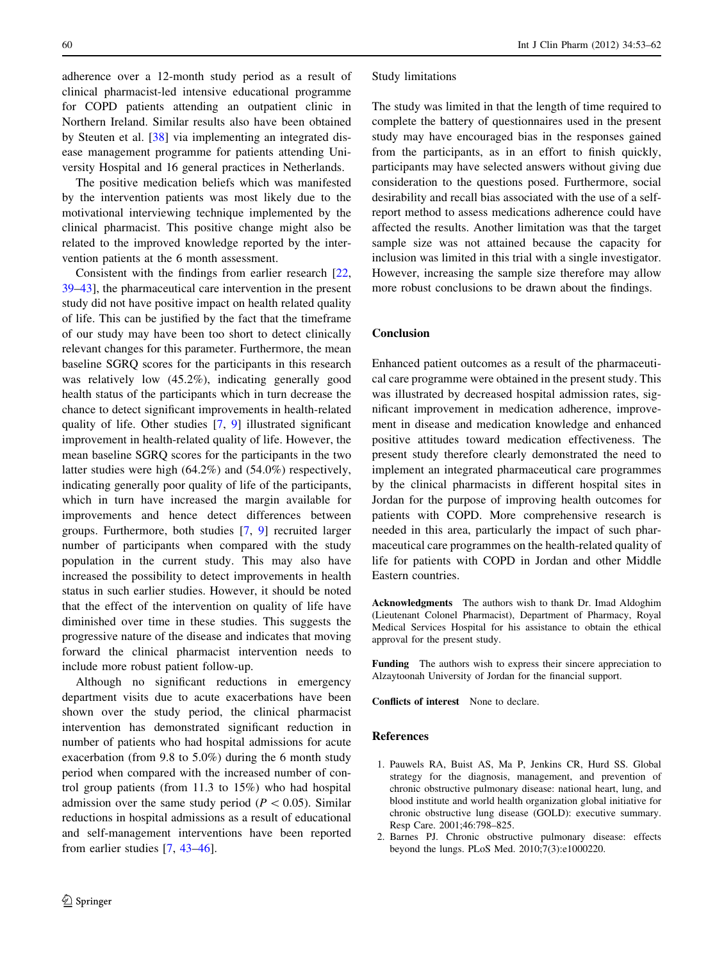<span id="page-7-0"></span>adherence over a 12-month study period as a result of clinical pharmacist-led intensive educational programme for COPD patients attending an outpatient clinic in Northern Ireland. Similar results also have been obtained by Steuten et al. [[38\]](#page-8-0) via implementing an integrated disease management programme for patients attending University Hospital and 16 general practices in Netherlands.

The positive medication beliefs which was manifested by the intervention patients was most likely due to the motivational interviewing technique implemented by the clinical pharmacist. This positive change might also be related to the improved knowledge reported by the intervention patients at the 6 month assessment.

Consistent with the findings from earlier research [[22,](#page-8-0) [39](#page-8-0)–[43\]](#page-9-0), the pharmaceutical care intervention in the present study did not have positive impact on health related quality of life. This can be justified by the fact that the timeframe of our study may have been too short to detect clinically relevant changes for this parameter. Furthermore, the mean baseline SGRQ scores for the participants in this research was relatively low (45.2%), indicating generally good health status of the participants which in turn decrease the chance to detect significant improvements in health-related quality of life. Other studies [[7,](#page-8-0) [9](#page-8-0)] illustrated significant improvement in health-related quality of life. However, the mean baseline SGRQ scores for the participants in the two latter studies were high (64.2%) and (54.0%) respectively, indicating generally poor quality of life of the participants, which in turn have increased the margin available for improvements and hence detect differences between groups. Furthermore, both studies [\[7](#page-8-0), [9\]](#page-8-0) recruited larger number of participants when compared with the study population in the current study. This may also have increased the possibility to detect improvements in health status in such earlier studies. However, it should be noted that the effect of the intervention on quality of life have diminished over time in these studies. This suggests the progressive nature of the disease and indicates that moving forward the clinical pharmacist intervention needs to include more robust patient follow-up.

Although no significant reductions in emergency department visits due to acute exacerbations have been shown over the study period, the clinical pharmacist intervention has demonstrated significant reduction in number of patients who had hospital admissions for acute exacerbation (from 9.8 to 5.0%) during the 6 month study period when compared with the increased number of control group patients (from 11.3 to 15%) who had hospital admission over the same study period ( $P<0.05$ ). Similar reductions in hospital admissions as a result of educational and self-management interventions have been reported from earlier studies [\[7](#page-8-0), [43](#page-9-0)–[46\]](#page-9-0).

#### Study limitations

The study was limited in that the length of time required to complete the battery of questionnaires used in the present study may have encouraged bias in the responses gained from the participants, as in an effort to finish quickly, participants may have selected answers without giving due consideration to the questions posed. Furthermore, social desirability and recall bias associated with the use of a selfreport method to assess medications adherence could have affected the results. Another limitation was that the target sample size was not attained because the capacity for inclusion was limited in this trial with a single investigator. However, increasing the sample size therefore may allow more robust conclusions to be drawn about the findings.

## Conclusion

Enhanced patient outcomes as a result of the pharmaceutical care programme were obtained in the present study. This was illustrated by decreased hospital admission rates, significant improvement in medication adherence, improvement in disease and medication knowledge and enhanced positive attitudes toward medication effectiveness. The present study therefore clearly demonstrated the need to implement an integrated pharmaceutical care programmes by the clinical pharmacists in different hospital sites in Jordan for the purpose of improving health outcomes for patients with COPD. More comprehensive research is needed in this area, particularly the impact of such pharmaceutical care programmes on the health-related quality of life for patients with COPD in Jordan and other Middle Eastern countries.

Acknowledgments The authors wish to thank Dr. Imad Aldoghim (Lieutenant Colonel Pharmacist), Department of Pharmacy, Royal Medical Services Hospital for his assistance to obtain the ethical approval for the present study.

Funding The authors wish to express their sincere appreciation to Alzaytoonah University of Jordan for the financial support.

Conflicts of interest None to declare.

## References

- 1. Pauwels RA, Buist AS, Ma P, Jenkins CR, Hurd SS. Global strategy for the diagnosis, management, and prevention of chronic obstructive pulmonary disease: national heart, lung, and blood institute and world health organization global initiative for chronic obstructive lung disease (GOLD): executive summary. Resp Care. 2001;46:798–825.
- 2. Barnes PJ. Chronic obstructive pulmonary disease: effects beyond the lungs. PLoS Med. 2010;7(3):e1000220.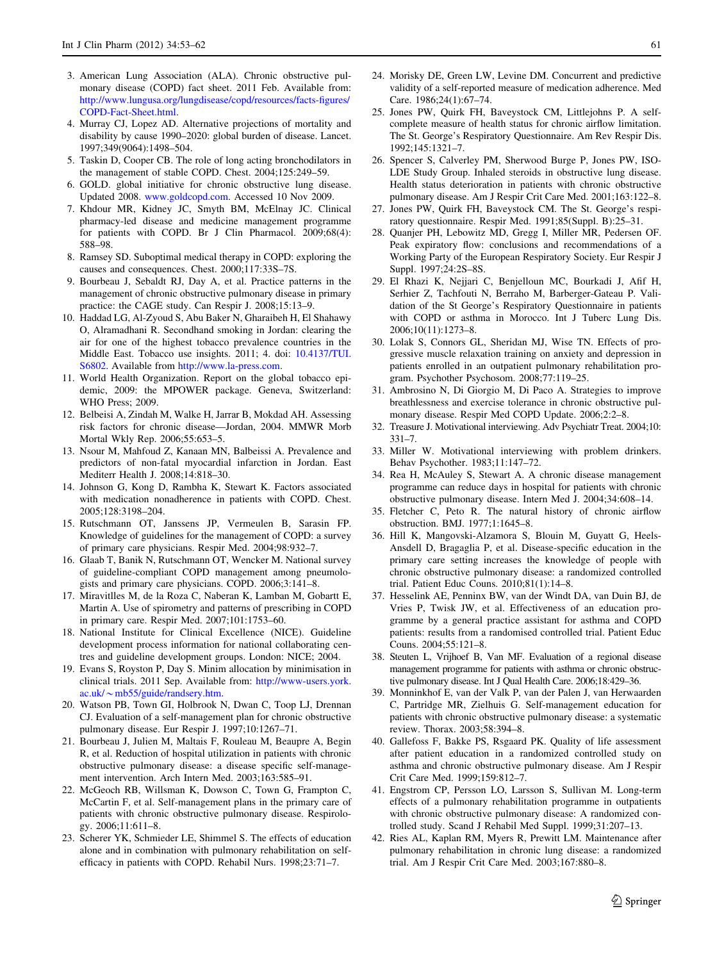- <span id="page-8-0"></span>3. American Lung Association (ALA). Chronic obstructive pulmonary disease (COPD) fact sheet. 2011 Feb. Available from: [http://www.lungusa.org/lungdisease/copd/resources/facts-figures/](http://www.lungusa.org/lungdisease/copd/resources/facts-figures/COPD-Fact-Sheet.html) [COPD-Fact-Sheet.html](http://www.lungusa.org/lungdisease/copd/resources/facts-figures/COPD-Fact-Sheet.html).
- 4. Murray CJ, Lopez AD. Alternative projections of mortality and disability by cause 1990–2020: global burden of disease. Lancet. 1997;349(9064):1498–504.
- 5. Taskin D, Cooper CB. The role of long acting bronchodilators in the management of stable COPD. Chest. 2004;125:249–59.
- 6. GOLD. global initiative for chronic obstructive lung disease. Updated 2008. [www.goldcopd.com.](http://www.goldcopd.com) Accessed 10 Nov 2009.
- 7. Khdour MR, Kidney JC, Smyth BM, McElnay JC. Clinical pharmacy-led disease and medicine management programme for patients with COPD. Br J Clin Pharmacol. 2009;68(4): 588–98.
- 8. Ramsey SD. Suboptimal medical therapy in COPD: exploring the causes and consequences. Chest. 2000;117:33S–7S.
- 9. Bourbeau J, Sebaldt RJ, Day A, et al. Practice patterns in the management of chronic obstructive pulmonary disease in primary practice: the CAGE study. Can Respir J. 2008;15:13–9.
- 10. Haddad LG, Al-Zyoud S, Abu Baker N, Gharaibeh H, El Shahawy O, Alramadhani R. Secondhand smoking in Jordan: clearing the air for one of the highest tobacco prevalence countries in the Middle East. Tobacco use insights. 2011; 4. doi: [10.4137/TUI.](http://dx.doi.org/10.4137/TUI.S6802) [S6802](http://dx.doi.org/10.4137/TUI.S6802). Available from <http://www.la-press.com>.
- 11. World Health Organization. Report on the global tobacco epidemic, 2009: the MPOWER package. Geneva, Switzerland: WHO Press; 2009.
- 12. Belbeisi A, Zindah M, Walke H, Jarrar B, Mokdad AH. Assessing risk factors for chronic disease—Jordan, 2004. MMWR Morb Mortal Wkly Rep. 2006;55:653–5.
- 13. Nsour M, Mahfoud Z, Kanaan MN, Balbeissi A. Prevalence and predictors of non-fatal myocardial infarction in Jordan. East Mediterr Health J. 2008;14:818–30.
- 14. Johnson G, Kong D, Rambha K, Stewart K. Factors associated with medication nonadherence in patients with COPD. Chest. 2005;128:3198–204.
- 15. Rutschmann OT, Janssens JP, Vermeulen B, Sarasin FP. Knowledge of guidelines for the management of COPD: a survey of primary care physicians. Respir Med. 2004;98:932–7.
- 16. Glaab T, Banik N, Rutschmann OT, Wencker M. National survey of guideline-compliant COPD management among pneumologists and primary care physicians. COPD. 2006;3:141–8.
- 17. Miravitlles M, de la Roza C, Naberan K, Lamban M, Gobartt E, Martin A. Use of spirometry and patterns of prescribing in COPD in primary care. Respir Med. 2007;101:1753–60.
- 18. National Institute for Clinical Excellence (NICE). Guideline development process information for national collaborating centres and guideline development groups. London: NICE; 2004.
- 19. Evans S, Royston P, Day S. Minim allocation by minimisation in clinical trials. 2011 Sep. Available from: [http://www-users.york.](http://www-users.york.ac.uk/~mb55/guide/randsery.htm)  $ac.uk/\sim mb55/guide/randsery.htm.$  $ac.uk/\sim mb55/guide/randsery.htm.$  $ac.uk/\sim mb55/guide/randsery.htm.$
- 20. Watson PB, Town GI, Holbrook N, Dwan C, Toop LJ, Drennan CJ. Evaluation of a self-management plan for chronic obstructive pulmonary disease. Eur Respir J. 1997;10:1267–71.
- 21. Bourbeau J, Julien M, Maltais F, Rouleau M, Beaupre A, Begin R, et al. Reduction of hospital utilization in patients with chronic obstructive pulmonary disease: a disease specific self-management intervention. Arch Intern Med. 2003;163:585–91.
- 22. McGeoch RB, Willsman K, Dowson C, Town G, Frampton C, McCartin F, et al. Self-management plans in the primary care of patients with chronic obstructive pulmonary disease. Respirology. 2006;11:611–8.
- 23. Scherer YK, Schmieder LE, Shimmel S. The effects of education alone and in combination with pulmonary rehabilitation on selfefficacy in patients with COPD. Rehabil Nurs. 1998;23:71–7.
- 24. Morisky DE, Green LW, Levine DM. Concurrent and predictive validity of a self-reported measure of medication adherence. Med Care. 1986;24(1):67–74.
- 25. Jones PW, Quirk FH, Baveystock CM, Littlejohns P. A selfcomplete measure of health status for chronic airflow limitation. The St. George's Respiratory Questionnaire. Am Rev Respir Dis. 1992;145:1321–7.
- 26. Spencer S, Calverley PM, Sherwood Burge P, Jones PW, ISO-LDE Study Group. Inhaled steroids in obstructive lung disease. Health status deterioration in patients with chronic obstructive pulmonary disease. Am J Respir Crit Care Med. 2001;163:122–8.
- 27. Jones PW, Quirk FH, Baveystock CM. The St. George's respiratory questionnaire. Respir Med. 1991;85(Suppl. B):25–31.
- 28. Quanjer PH, Lebowitz MD, Gregg I, Miller MR, Pedersen OF. Peak expiratory flow: conclusions and recommendations of a Working Party of the European Respiratory Society. Eur Respir J Suppl. 1997;24:2S–8S.
- 29. El Rhazi K, Nejjari C, Benjelloun MC, Bourkadi J, Afif H, Serhier Z, Tachfouti N, Berraho M, Barberger-Gateau P. Validation of the St George's Respiratory Questionnaire in patients with COPD or asthma in Morocco. Int J Tuberc Lung Dis. 2006;10(11):1273–8.
- 30. Lolak S, Connors GL, Sheridan MJ, Wise TN. Effects of progressive muscle relaxation training on anxiety and depression in patients enrolled in an outpatient pulmonary rehabilitation program. Psychother Psychosom. 2008;77:119–25.
- 31. Ambrosino N, Di Giorgio M, Di Paco A. Strategies to improve breathlessness and exercise tolerance in chronic obstructive pulmonary disease. Respir Med COPD Update. 2006;2:2–8.
- 32. Treasure J. Motivational interviewing. Adv Psychiatr Treat. 2004;10: 331–7.
- 33. Miller W. Motivational interviewing with problem drinkers. Behav Psychother. 1983;11:147–72.
- 34. Rea H, McAuley S, Stewart A. A chronic disease management programme can reduce days in hospital for patients with chronic obstructive pulmonary disease. Intern Med J. 2004;34:608–14.
- 35. Fletcher C, Peto R. The natural history of chronic airflow obstruction. BMJ. 1977;1:1645–8.
- 36. Hill K, Mangovski-Alzamora S, Blouin M, Guyatt G, Heels-Ansdell D, Bragaglia P, et al. Disease-specific education in the primary care setting increases the knowledge of people with chronic obstructive pulmonary disease: a randomized controlled trial. Patient Educ Couns. 2010;81(1):14–8.
- 37. Hesselink AE, Penninx BW, van der Windt DA, van Duin BJ, de Vries P, Twisk JW, et al. Effectiveness of an education programme by a general practice assistant for asthma and COPD patients: results from a randomised controlled trial. Patient Educ Couns. 2004;55:121–8.
- 38. Steuten L, Vrijhoef B, Van MF. Evaluation of a regional disease management programme for patients with asthma or chronic obstructive pulmonary disease. Int J Qual Health Care. 2006;18:429–36.
- 39. Monninkhof E, van der Valk P, van der Palen J, van Herwaarden C, Partridge MR, Zielhuis G. Self-management education for patients with chronic obstructive pulmonary disease: a systematic review. Thorax. 2003;58:394–8.
- 40. Gallefoss F, Bakke PS, Rsgaard PK. Quality of life assessment after patient education in a randomized controlled study on asthma and chronic obstructive pulmonary disease. Am J Respir Crit Care Med. 1999;159:812–7.
- 41. Engstrom CP, Persson LO, Larsson S, Sullivan M. Long-term effects of a pulmonary rehabilitation programme in outpatients with chronic obstructive pulmonary disease: A randomized controlled study. Scand J Rehabil Med Suppl. 1999;31:207–13.
- 42. Ries AL, Kaplan RM, Myers R, Prewitt LM. Maintenance after pulmonary rehabilitation in chronic lung disease: a randomized trial. Am J Respir Crit Care Med. 2003;167:880–8.